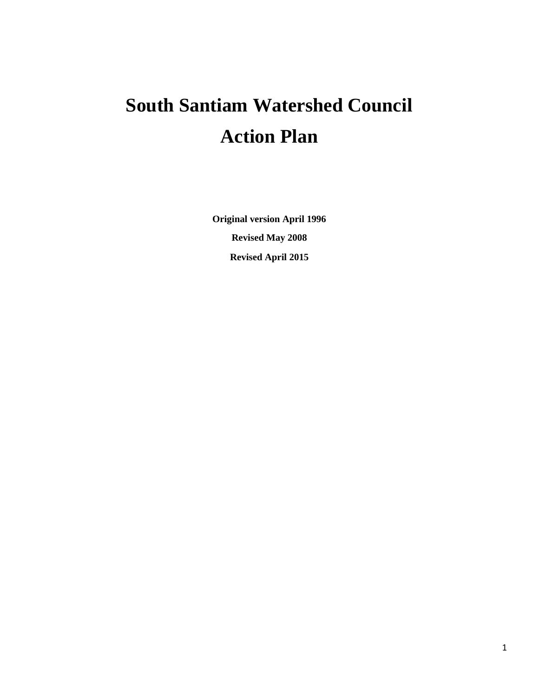# **South Santiam Watershed Council Action Plan**

**Original version April 1996 Revised May 2008 Revised April 2015**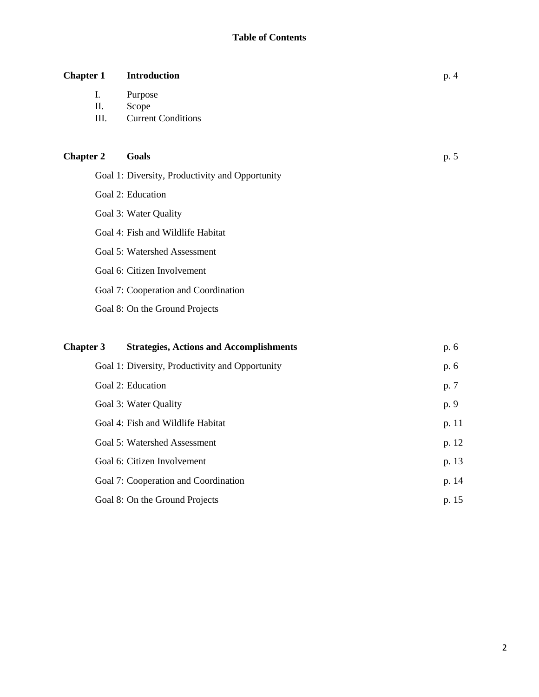| <b>Chapter 1</b> |                  | <b>Introduction</b>                             | p. 4  |
|------------------|------------------|-------------------------------------------------|-------|
|                  | I.<br>Π.<br>III. | Purpose<br>Scope<br><b>Current Conditions</b>   |       |
| <b>Chapter 2</b> |                  | Goals                                           | p. 5  |
|                  |                  | Goal 1: Diversity, Productivity and Opportunity |       |
|                  |                  | Goal 2: Education                               |       |
|                  |                  | Goal 3: Water Quality                           |       |
|                  |                  | Goal 4: Fish and Wildlife Habitat               |       |
|                  |                  | Goal 5: Watershed Assessment                    |       |
|                  |                  | Goal 6: Citizen Involvement                     |       |
|                  |                  | Goal 7: Cooperation and Coordination            |       |
|                  |                  | Goal 8: On the Ground Projects                  |       |
| <b>Chapter 3</b> |                  | <b>Strategies, Actions and Accomplishments</b>  | p. 6  |
|                  |                  | Goal 1: Diversity, Productivity and Opportunity | p. 6  |
|                  |                  | Goal 2: Education                               | p. 7  |
|                  |                  | Goal 3: Water Quality                           | p. 9  |
|                  |                  | Goal 4: Fish and Wildlife Habitat               | p. 11 |
|                  |                  | Goal 5: Watershed Assessment                    | p. 12 |
|                  |                  | Goal 6: Citizen Involvement                     | p. 13 |
|                  |                  | Goal 7: Cooperation and Coordination            | p. 14 |
|                  |                  | Goal 8: On the Ground Projects                  | p. 15 |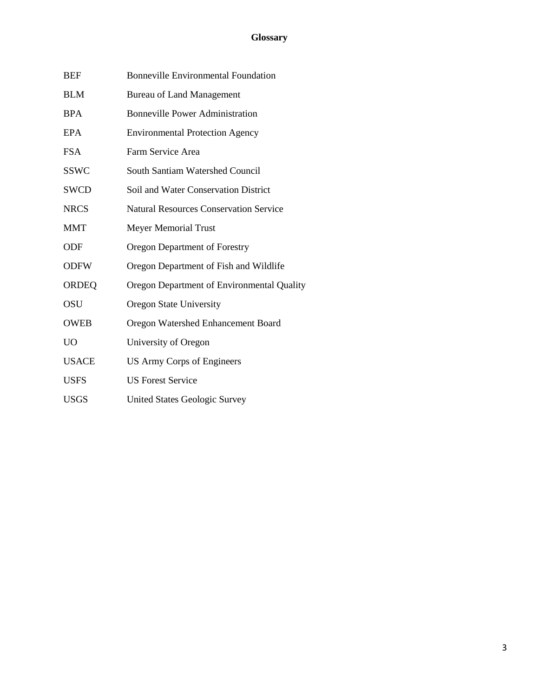## **Glossary**

| <b>BEF</b>     | <b>Bonneville Environmental Foundation</b>    |
|----------------|-----------------------------------------------|
| <b>BLM</b>     | <b>Bureau of Land Management</b>              |
| <b>BPA</b>     | <b>Bonneville Power Administration</b>        |
| <b>EPA</b>     | <b>Environmental Protection Agency</b>        |
| <b>FSA</b>     | Farm Service Area                             |
| <b>SSWC</b>    | South Santiam Watershed Council               |
| <b>SWCD</b>    | Soil and Water Conservation District          |
| <b>NRCS</b>    | <b>Natural Resources Conservation Service</b> |
| <b>MMT</b>     | <b>Meyer Memorial Trust</b>                   |
| ODF            | <b>Oregon Department of Forestry</b>          |
| <b>ODFW</b>    | Oregon Department of Fish and Wildlife        |
| <b>ORDEQ</b>   | Oregon Department of Environmental Quality    |
| <b>OSU</b>     | <b>Oregon State University</b>                |
| <b>OWEB</b>    | Oregon Watershed Enhancement Board            |
| U <sub>O</sub> | University of Oregon                          |
| <b>USACE</b>   | US Army Corps of Engineers                    |
| <b>USFS</b>    | <b>US Forest Service</b>                      |
| <b>USGS</b>    | <b>United States Geologic Survey</b>          |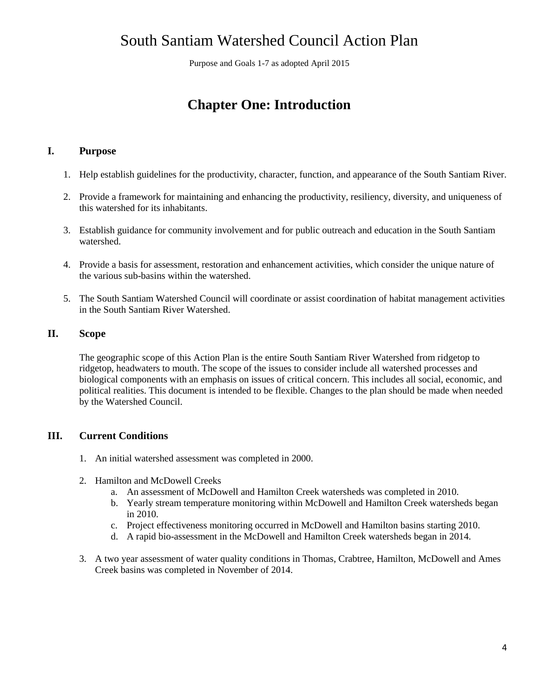# South Santiam Watershed Council Action Plan

Purpose and Goals 1-7 as adopted April 2015

# **Chapter One: Introduction**

#### **I. Purpose**

- 1. Help establish guidelines for the productivity, character, function, and appearance of the South Santiam River.
- 2. Provide a framework for maintaining and enhancing the productivity, resiliency, diversity, and uniqueness of this watershed for its inhabitants.
- 3. Establish guidance for community involvement and for public outreach and education in the South Santiam watershed.
- 4. Provide a basis for assessment, restoration and enhancement activities, which consider the unique nature of the various sub-basins within the watershed.
- 5. The South Santiam Watershed Council will coordinate or assist coordination of habitat management activities in the South Santiam River Watershed.

#### **II. Scope**

The geographic scope of this Action Plan is the entire South Santiam River Watershed from ridgetop to ridgetop, headwaters to mouth. The scope of the issues to consider include all watershed processes and biological components with an emphasis on issues of critical concern. This includes all social, economic, and political realities. This document is intended to be flexible. Changes to the plan should be made when needed by the Watershed Council.

#### **III. Current Conditions**

- 1. An initial watershed assessment was completed in 2000.
- 2. Hamilton and McDowell Creeks
	- a. An assessment of McDowell and Hamilton Creek watersheds was completed in 2010.
	- b. Yearly stream temperature monitoring within McDowell and Hamilton Creek watersheds began in 2010.
	- c. Project effectiveness monitoring occurred in McDowell and Hamilton basins starting 2010.
	- d. A rapid bio-assessment in the McDowell and Hamilton Creek watersheds began in 2014.
- 3. A two year assessment of water quality conditions in Thomas, Crabtree, Hamilton, McDowell and Ames Creek basins was completed in November of 2014.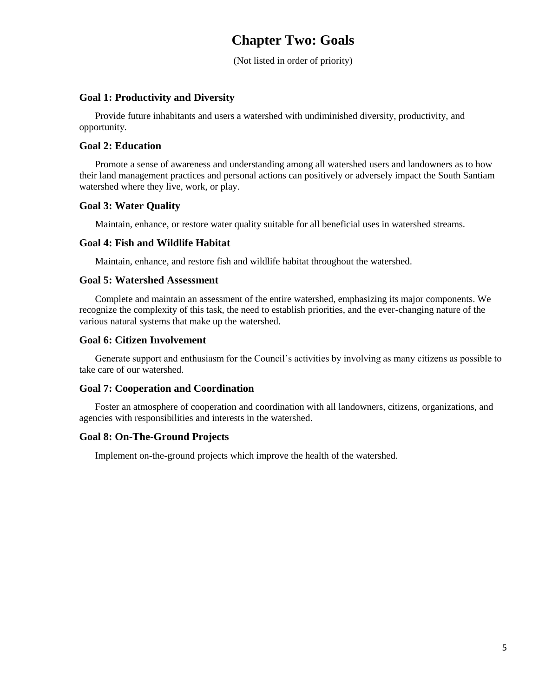# **Chapter Two: Goals**

(Not listed in order of priority)

#### **Goal 1: Productivity and Diversity**

Provide future inhabitants and users a watershed with undiminished diversity, productivity, and opportunity.

#### **Goal 2: Education**

Promote a sense of awareness and understanding among all watershed users and landowners as to how their land management practices and personal actions can positively or adversely impact the South Santiam watershed where they live, work, or play.

#### **Goal 3: Water Quality**

Maintain, enhance, or restore water quality suitable for all beneficial uses in watershed streams.

#### **Goal 4: Fish and Wildlife Habitat**

Maintain, enhance, and restore fish and wildlife habitat throughout the watershed.

#### **Goal 5: Watershed Assessment**

Complete and maintain an assessment of the entire watershed, emphasizing its major components. We recognize the complexity of this task, the need to establish priorities, and the ever-changing nature of the various natural systems that make up the watershed.

#### **Goal 6: Citizen Involvement**

Generate support and enthusiasm for the Council's activities by involving as many citizens as possible to take care of our watershed.

#### **Goal 7: Cooperation and Coordination**

Foster an atmosphere of cooperation and coordination with all landowners, citizens, organizations, and agencies with responsibilities and interests in the watershed.

#### **Goal 8: On-The-Ground Projects**

Implement on-the-ground projects which improve the health of the watershed.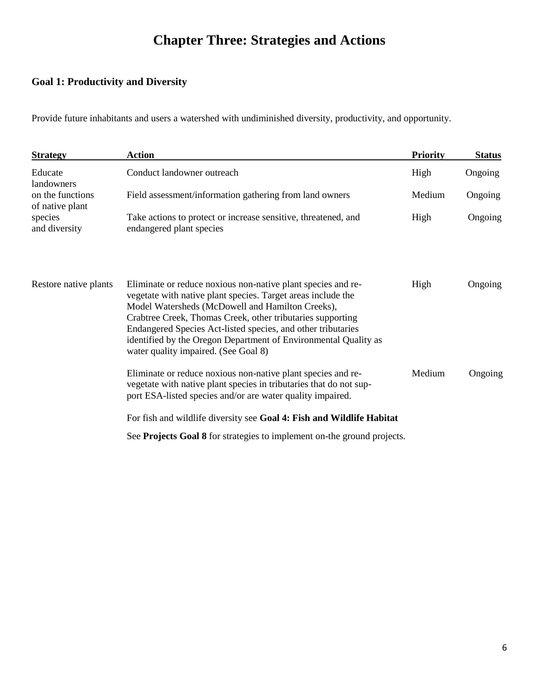# **Chapter Three: Strategies and Actions**

# **Goal 1: Productivity and Diversity**

Provide future inhabitants and users a watershed with undiminished diversity, productivity, and opportunity.

| <b>Strategy</b>                     | <b>Action</b>                                                                                                                                                                                                                                                                                                                                                                                                             | <b>Priority</b> | <b>Status</b> |
|-------------------------------------|---------------------------------------------------------------------------------------------------------------------------------------------------------------------------------------------------------------------------------------------------------------------------------------------------------------------------------------------------------------------------------------------------------------------------|-----------------|---------------|
| Educate<br>landowners               | Conduct landowner outreach                                                                                                                                                                                                                                                                                                                                                                                                | High            | Ongoing       |
| on the functions<br>of native plant | Field assessment/information gathering from land owners                                                                                                                                                                                                                                                                                                                                                                   | Medium          | Ongoing       |
| species<br>and diversity            | Take actions to protect or increase sensitive, threatened, and<br>endangered plant species                                                                                                                                                                                                                                                                                                                                | High            | Ongoing       |
| Restore native plants               | Eliminate or reduce noxious non-native plant species and re-<br>vegetate with native plant species. Target areas include the<br>Model Watersheds (McDowell and Hamilton Creeks),<br>Crabtree Creek, Thomas Creek, other tributaries supporting<br>Endangered Species Act-listed species, and other tributaries<br>identified by the Oregon Department of Environmental Quality as<br>water quality impaired. (See Goal 8) | High            | Ongoing       |
|                                     | Eliminate or reduce noxious non-native plant species and re-<br>vegetate with native plant species in tributaries that do not sup-<br>port ESA-listed species and/or are water quality impaired.                                                                                                                                                                                                                          | Medium          | Ongoing       |
|                                     | For fish and wildlife diversity see Goal 4: Fish and Wildlife Habitat                                                                                                                                                                                                                                                                                                                                                     |                 |               |
|                                     | See Projects Goal 8 for strategies to implement on-the ground projects.                                                                                                                                                                                                                                                                                                                                                   |                 |               |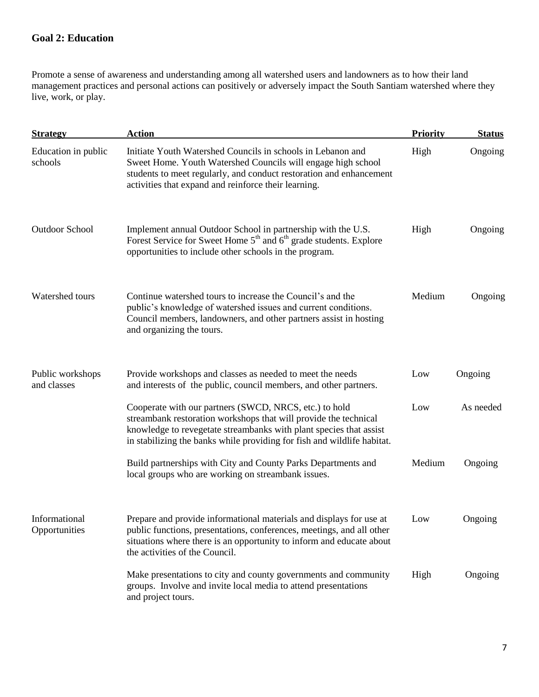## **Goal 2: Education**

Promote a sense of awareness and understanding among all watershed users and landowners as to how their land management practices and personal actions can positively or adversely impact the South Santiam watershed where they live, work, or play.

| <b>Strategy</b>                 | <b>Action</b>                                                                                                                                                                                                                                                               | <b>Priority</b> | <b>Status</b> |
|---------------------------------|-----------------------------------------------------------------------------------------------------------------------------------------------------------------------------------------------------------------------------------------------------------------------------|-----------------|---------------|
| Education in public<br>schools  | Initiate Youth Watershed Councils in schools in Lebanon and<br>Sweet Home. Youth Watershed Councils will engage high school<br>students to meet regularly, and conduct restoration and enhancement<br>activities that expand and reinforce their learning.                  | High            | Ongoing       |
| <b>Outdoor School</b>           | Implement annual Outdoor School in partnership with the U.S.<br>Forest Service for Sweet Home 5 <sup>th</sup> and 6 <sup>th</sup> grade students. Explore<br>opportunities to include other schools in the program.                                                         | High            | Ongoing       |
| Watershed tours                 | Continue watershed tours to increase the Council's and the<br>public's knowledge of watershed issues and current conditions.<br>Council members, landowners, and other partners assist in hosting<br>and organizing the tours.                                              | Medium          | Ongoing       |
| Public workshops<br>and classes | Provide workshops and classes as needed to meet the needs<br>and interests of the public, council members, and other partners.                                                                                                                                              | Low             | Ongoing       |
|                                 | Cooperate with our partners (SWCD, NRCS, etc.) to hold<br>streambank restoration workshops that will provide the technical<br>knowledge to revegetate streambanks with plant species that assist<br>in stabilizing the banks while providing for fish and wildlife habitat. | Low             | As needed     |
|                                 | Build partnerships with City and County Parks Departments and<br>local groups who are working on streambank issues.                                                                                                                                                         | Medium          | Ongoing       |
| Informational<br>Opportunities  | Prepare and provide informational materials and displays for use at<br>public functions, presentations, conferences, meetings, and all other<br>situations where there is an opportunity to inform and educate about<br>the activities of the Council.                      | Low             | Ongoing       |
|                                 | Make presentations to city and county governments and community<br>groups. Involve and invite local media to attend presentations<br>and project tours.                                                                                                                     | High            | Ongoing       |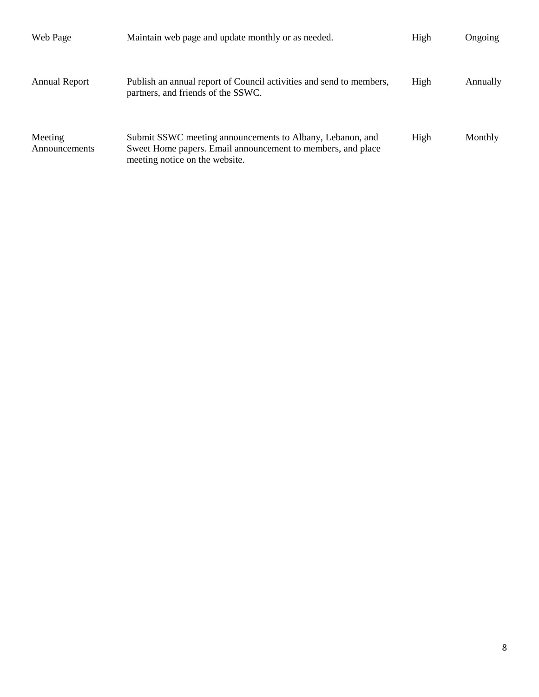| Web Page                 | Maintain web page and update monthly or as needed.                                                                                                         | High | Ongoing  |
|--------------------------|------------------------------------------------------------------------------------------------------------------------------------------------------------|------|----------|
| <b>Annual Report</b>     | Publish an annual report of Council activities and send to members,<br>partners, and friends of the SSWC.                                                  | High | Annually |
| Meeting<br>Announcements | Submit SSWC meeting announcements to Albany, Lebanon, and<br>Sweet Home papers. Email announcement to members, and place<br>meeting notice on the website. | High | Monthly  |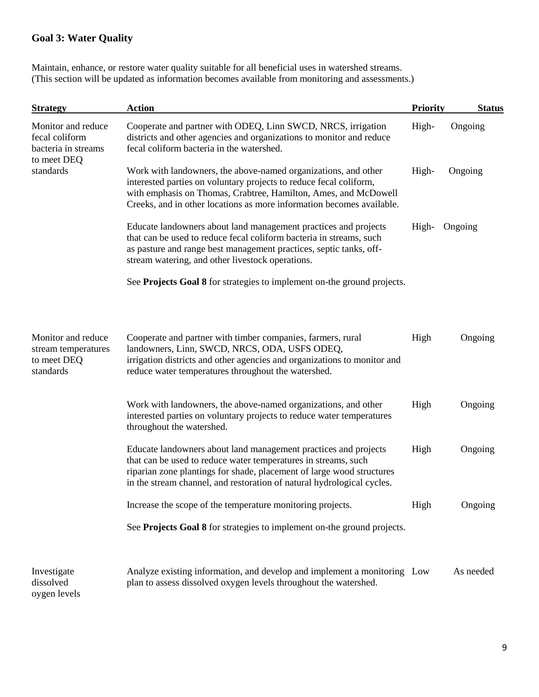### **Goal 3: Water Quality**

Maintain, enhance, or restore water quality suitable for all beneficial uses in watershed streams. (This section will be updated as information becomes available from monitoring and assessments.)

| <b>Strategy</b>                                                            | <b>Action</b>                                                                                                                                                                                                                                                                        | <b>Priority</b> | <b>Status</b> |
|----------------------------------------------------------------------------|--------------------------------------------------------------------------------------------------------------------------------------------------------------------------------------------------------------------------------------------------------------------------------------|-----------------|---------------|
| Monitor and reduce<br>fecal coliform<br>bacteria in streams<br>to meet DEQ | Cooperate and partner with ODEQ, Linn SWCD, NRCS, irrigation<br>districts and other agencies and organizations to monitor and reduce<br>fecal coliform bacteria in the watershed.                                                                                                    | High-           | Ongoing       |
| standards                                                                  | Work with landowners, the above-named organizations, and other<br>interested parties on voluntary projects to reduce fecal coliform,<br>with emphasis on Thomas, Crabtree, Hamilton, Ames, and McDowell<br>Creeks, and in other locations as more information becomes available.     | High-           | Ongoing       |
|                                                                            | Educate landowners about land management practices and projects<br>that can be used to reduce fecal coliform bacteria in streams, such<br>as pasture and range best management practices, septic tanks, off-<br>stream watering, and other livestock operations.                     | High-           | Ongoing       |
|                                                                            | See Projects Goal 8 for strategies to implement on-the ground projects.                                                                                                                                                                                                              |                 |               |
| Monitor and reduce<br>stream temperatures<br>to meet DEQ<br>standards      | Cooperate and partner with timber companies, farmers, rural<br>landowners, Linn, SWCD, NRCS, ODA, USFS ODEQ,<br>irrigation districts and other agencies and organizations to monitor and<br>reduce water temperatures throughout the watershed.                                      | High            | Ongoing       |
|                                                                            | Work with landowners, the above-named organizations, and other<br>interested parties on voluntary projects to reduce water temperatures<br>throughout the watershed.                                                                                                                 | High            | Ongoing       |
|                                                                            | Educate landowners about land management practices and projects<br>that can be used to reduce water temperatures in streams, such<br>riparian zone plantings for shade, placement of large wood structures<br>in the stream channel, and restoration of natural hydrological cycles. | High            | Ongoing       |
|                                                                            | Increase the scope of the temperature monitoring projects.                                                                                                                                                                                                                           | High            | Ongoing       |
|                                                                            | See Projects Goal 8 for strategies to implement on-the ground projects.                                                                                                                                                                                                              |                 |               |
| Investigate<br>dissolved<br>oygen levels                                   | Analyze existing information, and develop and implement a monitoring Low<br>plan to assess dissolved oxygen levels throughout the watershed.                                                                                                                                         |                 | As needed     |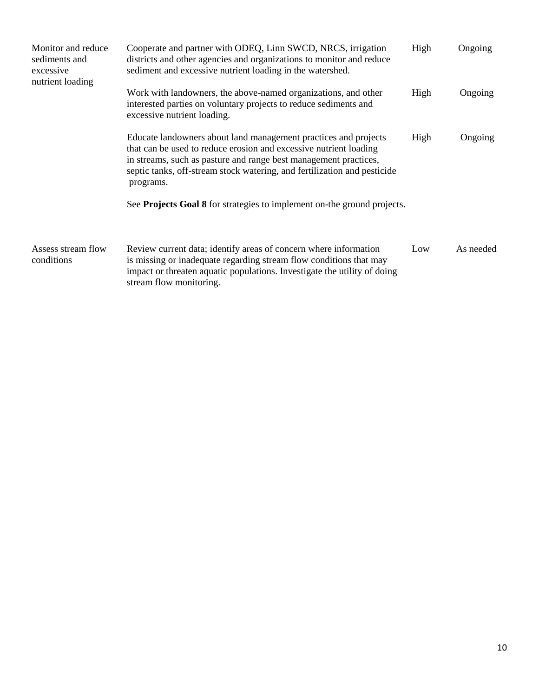| Monitor and reduce<br>sediments and<br>excessive<br>nutrient loading | Cooperate and partner with ODEQ, Linn SWCD, NRCS, irrigation<br>districts and other agencies and organizations to monitor and reduce<br>sediment and excessive nutrient loading in the watershed.                                                                                                 | High            | Ongoing   |
|----------------------------------------------------------------------|---------------------------------------------------------------------------------------------------------------------------------------------------------------------------------------------------------------------------------------------------------------------------------------------------|-----------------|-----------|
|                                                                      | Work with landowners, the above-named organizations, and other<br>interested parties on voluntary projects to reduce sediments and<br>excessive nutrient loading.                                                                                                                                 | Ongoing<br>High |           |
|                                                                      | Educate landowners about land management practices and projects<br>that can be used to reduce erosion and excessive nutrient loading<br>in streams, such as pasture and range best management practices,<br>septic tanks, off-stream stock watering, and fertilization and pesticide<br>programs. | High            | Ongoing   |
|                                                                      | See Projects Goal 8 for strategies to implement on-the ground projects.                                                                                                                                                                                                                           |                 |           |
| Assess stream flow<br>conditions                                     | Review current data; identify areas of concern where information<br>is missing or inadequate regarding stream flow conditions that may<br>impact or threaten aquatic populations. Investigate the utility of doing<br>stream flow monitoring.                                                     | Low             | As needed |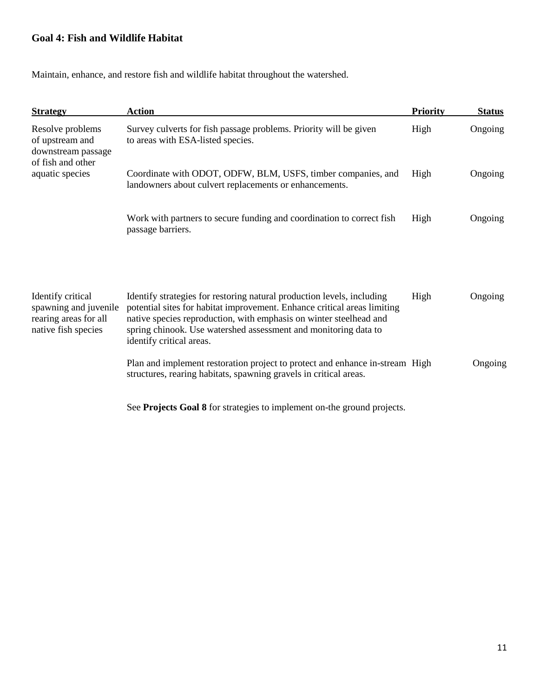### **Goal 4: Fish and Wildlife Habitat**

Maintain, enhance, and restore fish and wildlife habitat throughout the watershed.

| <b>Strategy</b>                                                                            | <b>Action</b>                                                                                                                                                                                                                                                                                                           | <b>Priority</b> | <b>Status</b> |
|--------------------------------------------------------------------------------------------|-------------------------------------------------------------------------------------------------------------------------------------------------------------------------------------------------------------------------------------------------------------------------------------------------------------------------|-----------------|---------------|
| Resolve problems<br>of upstream and<br>downstream passage<br>of fish and other             | Survey culverts for fish passage problems. Priority will be given<br>to areas with ESA-listed species.                                                                                                                                                                                                                  | High            | Ongoing       |
| aquatic species                                                                            | Coordinate with ODOT, ODFW, BLM, USFS, timber companies, and<br>landowners about culvert replacements or enhancements.                                                                                                                                                                                                  | High            | Ongoing       |
|                                                                                            | Work with partners to secure funding and coordination to correct fish<br>passage barriers.                                                                                                                                                                                                                              | High            | Ongoing       |
|                                                                                            |                                                                                                                                                                                                                                                                                                                         |                 |               |
| Identify critical<br>spawning and juvenile<br>rearing areas for all<br>native fish species | Identify strategies for restoring natural production levels, including<br>potential sites for habitat improvement. Enhance critical areas limiting<br>native species reproduction, with emphasis on winter steelhead and<br>spring chinook. Use watershed assessment and monitoring data to<br>identify critical areas. | High            | Ongoing       |
|                                                                                            | Plan and implement restoration project to protect and enhance in-stream High<br>structures, rearing habitats, spawning gravels in critical areas.                                                                                                                                                                       |                 | Ongoing       |
|                                                                                            |                                                                                                                                                                                                                                                                                                                         |                 |               |

See **Projects Goal 8** for strategies to implement on-the ground projects.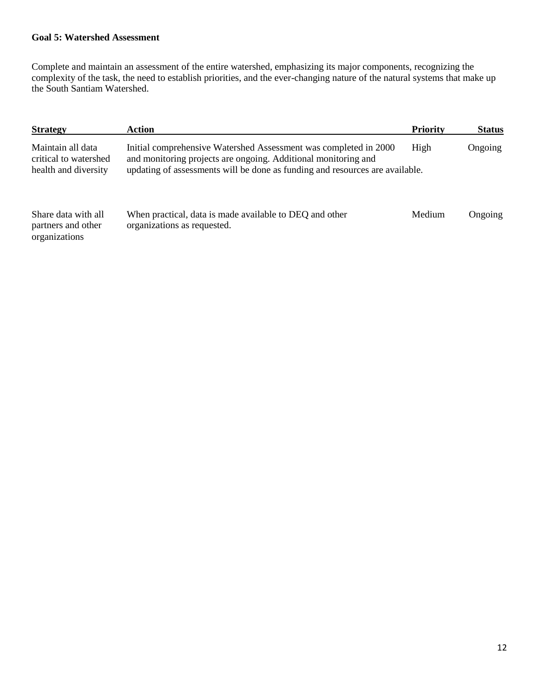#### **Goal 5: Watershed Assessment**

Complete and maintain an assessment of the entire watershed, emphasizing its major components, recognizing the complexity of the task, the need to establish priorities, and the ever-changing nature of the natural systems that make up the South Santiam Watershed.

| <b>Strategy</b>                                                    | Action                                                                                                                                                                                                             | <b>Priority</b> | <b>Status</b> |
|--------------------------------------------------------------------|--------------------------------------------------------------------------------------------------------------------------------------------------------------------------------------------------------------------|-----------------|---------------|
| Maintain all data<br>critical to watershed<br>health and diversity | Initial comprehensive Watershed Assessment was completed in 2000<br>and monitoring projects are ongoing. Additional monitoring and<br>updating of assessments will be done as funding and resources are available. | High            | Ongoing       |
| Share data with all<br>partners and other<br>organizations         | When practical, data is made available to DEQ and other<br>organizations as requested.                                                                                                                             | Medium          | Ongoing       |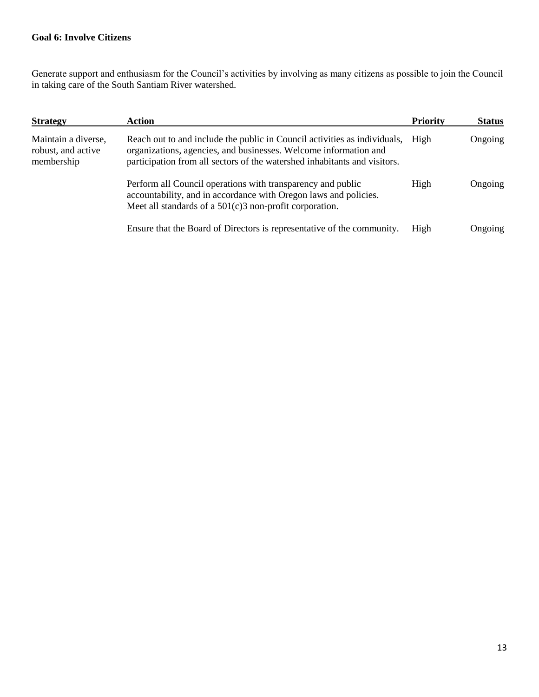#### **Goal 6: Involve Citizens**

Generate support and enthusiasm for the Council's activities by involving as many citizens as possible to join the Council in taking care of the South Santiam River watershed.

| <b>Strategy</b>                                         | Action                                                                                                                                                                                                                     | <b>Priority</b> | <b>Status</b> |
|---------------------------------------------------------|----------------------------------------------------------------------------------------------------------------------------------------------------------------------------------------------------------------------------|-----------------|---------------|
| Maintain a diverse,<br>robust, and active<br>membership | Reach out to and include the public in Council activities as individuals,<br>organizations, agencies, and businesses. Welcome information and<br>participation from all sectors of the watershed inhabitants and visitors. | High            | Ongoing       |
|                                                         | Perform all Council operations with transparency and public<br>accountability, and in accordance with Oregon laws and policies.<br>Meet all standards of a $501(c)3$ non-profit corporation.                               | High            | Ongoing       |
|                                                         | Ensure that the Board of Directors is representative of the community.                                                                                                                                                     | High            | Ongoing       |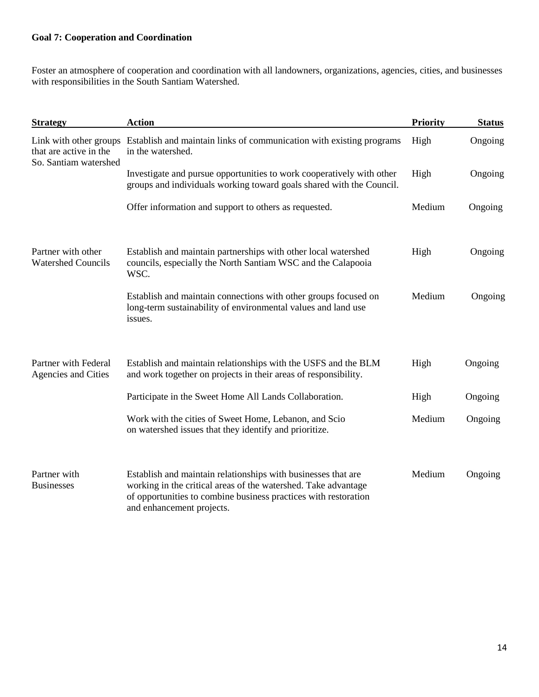### **Goal 7: Cooperation and Coordination**

Foster an atmosphere of cooperation and coordination with all landowners, organizations, agencies, cities, and businesses with responsibilities in the South Santiam Watershed.

| <b>Strategy</b>                                                           | <b>Action</b>                                                                                                                                                                                                                   | <b>Priority</b> | <b>Status</b> |
|---------------------------------------------------------------------------|---------------------------------------------------------------------------------------------------------------------------------------------------------------------------------------------------------------------------------|-----------------|---------------|
| Link with other groups<br>that are active in the<br>So. Santiam watershed | Establish and maintain links of communication with existing programs<br>in the watershed.                                                                                                                                       | High            | Ongoing       |
|                                                                           | Investigate and pursue opportunities to work cooperatively with other<br>groups and individuals working toward goals shared with the Council.                                                                                   | High            | Ongoing       |
|                                                                           | Offer information and support to others as requested.                                                                                                                                                                           | Medium          | Ongoing       |
| Partner with other<br><b>Watershed Councils</b>                           | Establish and maintain partnerships with other local watershed<br>councils, especially the North Santiam WSC and the Calapooia<br>WSC.                                                                                          | High            | Ongoing       |
|                                                                           | Establish and maintain connections with other groups focused on<br>long-term sustainability of environmental values and land use<br>issues.                                                                                     | Medium          | Ongoing       |
| Partner with Federal<br><b>Agencies and Cities</b>                        | Establish and maintain relationships with the USFS and the BLM<br>and work together on projects in their areas of responsibility.                                                                                               | High            | Ongoing       |
|                                                                           | Participate in the Sweet Home All Lands Collaboration.                                                                                                                                                                          | High            | Ongoing       |
|                                                                           | Work with the cities of Sweet Home, Lebanon, and Scio<br>on watershed issues that they identify and prioritize.                                                                                                                 | Medium          | Ongoing       |
| Partner with<br><b>Businesses</b>                                         | Establish and maintain relationships with businesses that are<br>working in the critical areas of the watershed. Take advantage<br>of opportunities to combine business practices with restoration<br>and enhancement projects. | Medium          | Ongoing       |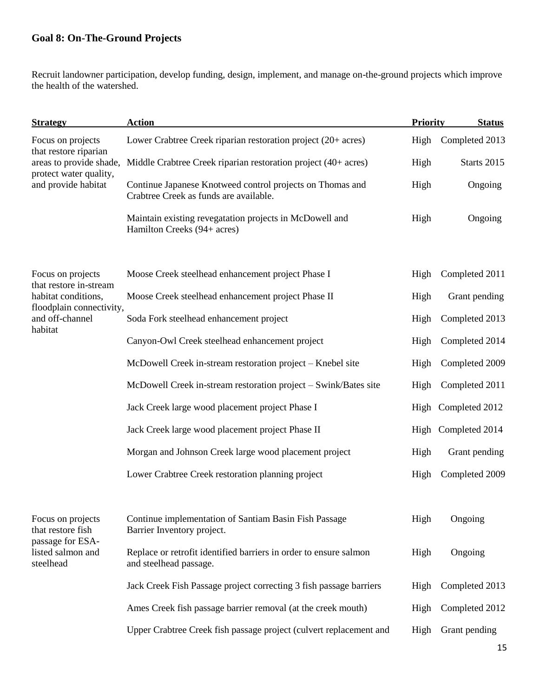# **Goal 8: On-The-Ground Projects**

Recruit landowner participation, develop funding, design, implement, and manage on-the-ground projects which improve the health of the watershed.

| <b>Strategy</b>                                    | <b>Action</b>                                                                                       | <b>Priority</b> | <b>Status</b>       |
|----------------------------------------------------|-----------------------------------------------------------------------------------------------------|-----------------|---------------------|
| Focus on projects                                  | Lower Crabtree Creek riparian restoration project (20+ acres)                                       | High            | Completed 2013      |
| that restore riparian<br>areas to provide shade,   | Middle Crabtree Creek riparian restoration project (40+ acres)                                      | High            | Starts 2015         |
| protect water quality,<br>and provide habitat      | Continue Japanese Knotweed control projects on Thomas and<br>Crabtree Creek as funds are available. | High            | Ongoing             |
|                                                    | Maintain existing revegatation projects in McDowell and<br>Hamilton Creeks (94+ acres)              | High            | Ongoing             |
| Focus on projects<br>that restore in-stream        | Moose Creek steelhead enhancement project Phase I                                                   | High            | Completed 2011      |
| habitat conditions,                                | Moose Creek steelhead enhancement project Phase II                                                  | High            | Grant pending       |
| floodplain connectivity,<br>and off-channel        | Soda Fork steelhead enhancement project                                                             | High            | Completed 2013      |
| habitat                                            | Canyon-Owl Creek steelhead enhancement project                                                      | High            | Completed 2014      |
|                                                    | McDowell Creek in-stream restoration project - Knebel site                                          | High            | Completed 2009      |
|                                                    | McDowell Creek in-stream restoration project – Swink/Bates site                                     | High            | Completed 2011      |
|                                                    | Jack Creek large wood placement project Phase I                                                     |                 | High Completed 2012 |
|                                                    | Jack Creek large wood placement project Phase II                                                    |                 | High Completed 2014 |
|                                                    | Morgan and Johnson Creek large wood placement project                                               | High            | Grant pending       |
|                                                    | Lower Crabtree Creek restoration planning project                                                   | High            | Completed 2009      |
| Focus on projects<br>that restore fish             | Continue implementation of Santiam Basin Fish Passage<br>Barrier Inventory project.                 | High            | Ongoing             |
| passage for ESA-<br>listed salmon and<br>steelhead | Replace or retrofit identified barriers in order to ensure salmon<br>and steelhead passage.         | High            | Ongoing             |
|                                                    | Jack Creek Fish Passage project correcting 3 fish passage barriers                                  | High            | Completed 2013      |
|                                                    | Ames Creek fish passage barrier removal (at the creek mouth)                                        | High            | Completed 2012      |
|                                                    | Upper Crabtree Creek fish passage project (culvert replacement and                                  | High            | Grant pending       |